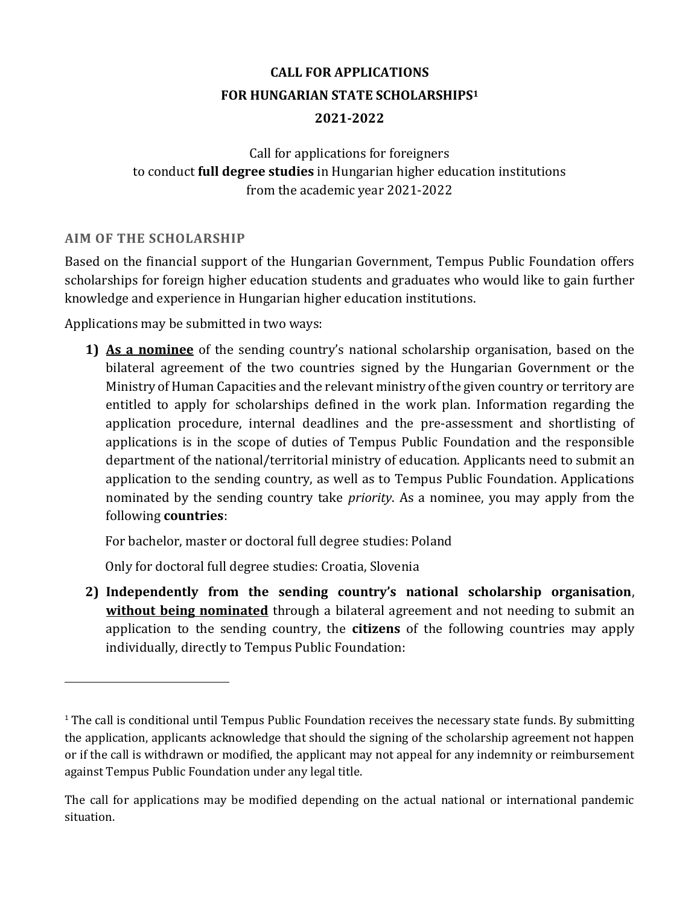# **CALL FOR APPLICATIONS FOR HUNGARIAN STATE SCHOLARSHIPS<sup>1</sup> 2021-2022**

Call for applications for foreigners to conduct **full degree studies** in Hungarian higher education institutions from the academic year 2021-2022

# **AIM OF THE SCHOLARSHIP**

 $\overline{a}$ 

Based on the financial support of the Hungarian Government, Tempus Public Foundation offers scholarships for foreign higher education students and graduates who would like to gain further knowledge and experience in Hungarian higher education institutions.

Applications may be submitted in two ways:

**1) As a nominee** of the sending country's national scholarship organisation, based on the bilateral agreement of the two countries signed by the Hungarian Government or the Ministry of Human Capacities and the relevant ministry of the given country or territory are entitled to apply for scholarships defined in the work plan. Information regarding the application procedure, internal deadlines and the pre-assessment and shortlisting of applications is in the scope of duties of Tempus Public Foundation and the responsible department of the national/territorial ministry of education. Applicants need to submit an application to the sending country, as well as to Tempus Public Foundation. Applications nominated by the sending country take *priority*. As a nominee, you may apply from the following **countries**:

For bachelor, master or doctoral full degree studies: Poland

Only for doctoral full degree studies: Croatia, Slovenia

**2) Independently from the sending country's national scholarship organisation**, **without being nominated** through a bilateral agreement and not needing to submit an application to the sending country, the **citizens** of the following countries may apply individually, directly to Tempus Public Foundation:

 $1$  The call is conditional until Tempus Public Foundation receives the necessary state funds. By submitting the application, applicants acknowledge that should the signing of the scholarship agreement not happen or if the call is withdrawn or modified, the applicant may not appeal for any indemnity or reimbursement against Tempus Public Foundation under any legal title.

The call for applications may be modified depending on the actual national or international pandemic situation.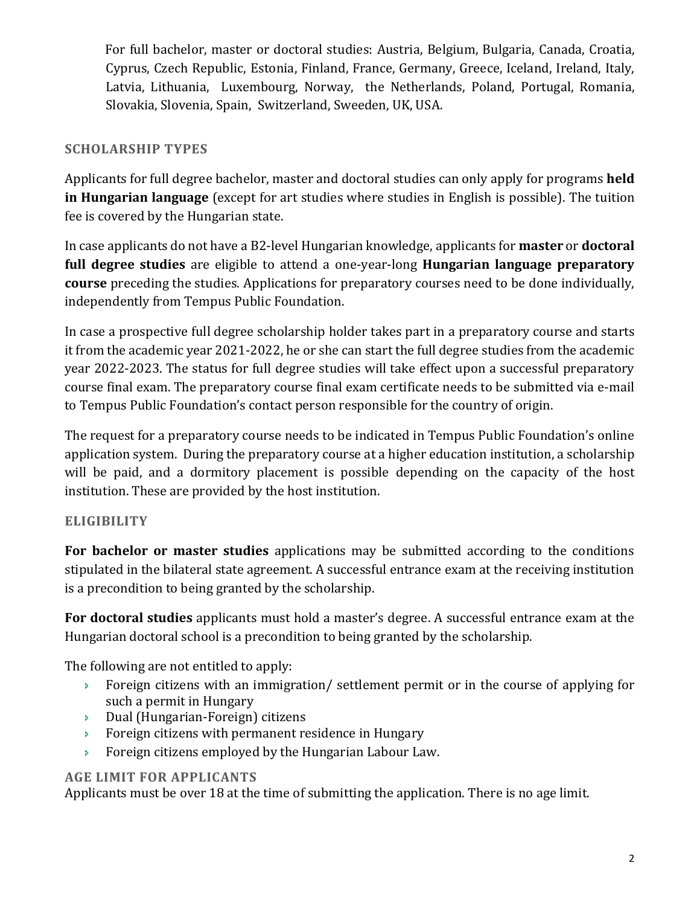For full bachelor, master or doctoral studies: Austria, Belgium, Bulgaria, Canada, Croatia, Cyprus, Czech Republic, Estonia, Finland, France, Germany, Greece, Iceland, Ireland, Italy, Latvia, Lithuania, Luxembourg, Norway, the Netherlands, Poland, Portugal, Romania, Slovakia, Slovenia, Spain, Switzerland, Sweeden, UK, USA.

# **SCHOLARSHIP TYPES**

Applicants for full degree bachelor, master and doctoral studies can only apply for programs **held in Hungarian language** (except for art studies where studies in English is possible). The tuition fee is covered by the Hungarian state.

In case applicants do not have a B2-level Hungarian knowledge, applicants for **master** or **doctoral full degree studies** are eligible to attend a one-year-long **Hungarian language preparatory course** preceding the studies. Applications for preparatory courses need to be done individually, independently from Tempus Public Foundation.

In case a prospective full degree scholarship holder takes part in a preparatory course and starts it from the academic year 2021-2022, he or she can start the full degree studies from the academic year 2022-2023. The status for full degree studies will take effect upon a successful preparatory course final exam. The preparatory course final exam certificate needs to be submitted via e-mail to Tempus Public Foundation's contact person responsible for the country of origin.

The request for a preparatory course needs to be indicated in Tempus Public Foundation's online application system. During the preparatory course at a higher education institution, a scholarship will be paid, and a dormitory placement is possible depending on the capacity of the host institution. These are provided by the host institution.

# **ELIGIBILITY**

**For bachelor or master studies** applications may be submitted according to the conditions stipulated in the bilateral state agreement. A successful entrance exam at the receiving institution is a precondition to being granted by the scholarship.

**For doctoral studies** applicants must hold a master's degree. A successful entrance exam at the Hungarian doctoral school is a precondition to being granted by the scholarship.

The following are not entitled to apply:

- **Foreign citizens with an immigration/ settlement permit or in the course of applying for** such a permit in Hungary
- Dual (Hungarian-Foreign) citizens
- **Foreign citizens with permanent residence in Hungary**
- **Foreign citizens employed by the Hungarian Labour Law.**

### **AGE LIMIT FOR APPLICANTS**

Applicants must be over 18 at the time of submitting the application. There is no age limit.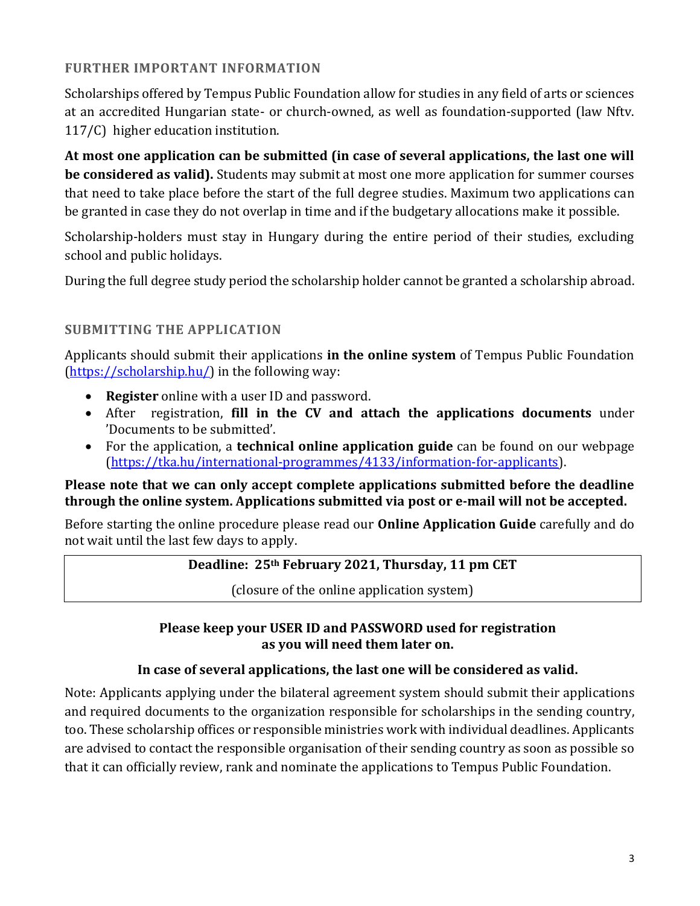# **FURTHER IMPORTANT INFORMATION**

Scholarships offered by Tempus Public Foundation allow for studies in any field of arts or sciences at an accredited Hungarian state- or church-owned, as well as foundation-supported (law Nftv. 117/C) higher education institution.

**At most one application can be submitted (in case of several applications, the last one will be considered as valid).** Students may submit at most one more application for summer courses that need to take place before the start of the full degree studies. Maximum two applications can be granted in case they do not overlap in time and if the budgetary allocations make it possible.

Scholarship-holders must stay in Hungary during the entire period of their studies, excluding school and public holidays.

During the full degree study period the scholarship holder cannot be granted a scholarship abroad.

# **SUBMITTING THE APPLICATION**

Applicants should submit their applications **in the online system** of Tempus Public Foundation [\(https://scholarship.hu/\)](https://scholarship.hu/) in the following way:

- **Register** online with a user ID and password.
- After registration, **fill in the CV and attach the applications documents** under 'Documents to be submitted'.
- For the application, a **technical online application guide** can be found on our webpage [\(https://tka.hu/international-programmes/4133/information-for-applicants\)](https://tka.hu/international-programmes/4133/information-for-applicants).

### **Please note that we can only accept complete applications submitted before the deadline through the online system. Applications submitted via post or e-mail will not be accepted.**

Before starting the online procedure please read our **Online Application Guide** carefully and do not wait until the last few days to apply.

### **Deadline: 25th February 2021, Thursday, 11 pm CET**

(closure of the online application system)

### **Please keep your USER ID and PASSWORD used for registration as you will need them later on.**

### **In case of several applications, the last one will be considered as valid.**

Note: Applicants applying under the bilateral agreement system should submit their applications and required documents to the organization responsible for scholarships in the sending country, too. These scholarship offices or responsible ministries work with individual deadlines. Applicants are advised to contact the responsible organisation of their sending country as soon as possible so that it can officially review, rank and nominate the applications to Tempus Public Foundation.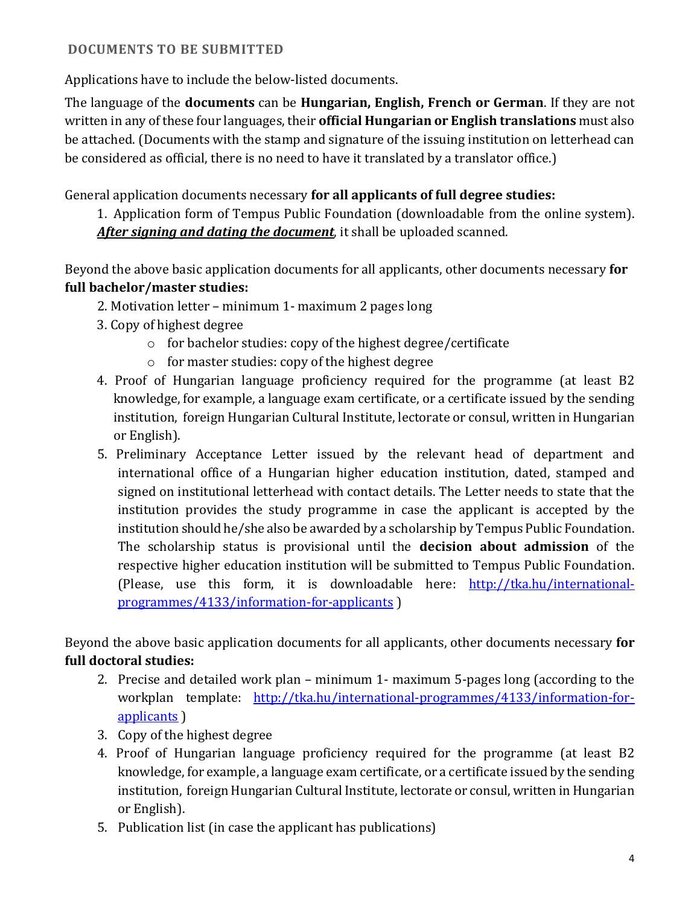## **DOCUMENTS TO BE SUBMITTED**

Applications have to include the below-listed documents.

The language of the **documents** can be **Hungarian, English, French or German**. If they are not written in any of these four languages, their **official Hungarian or English translations** must also be attached. (Documents with the stamp and signature of the issuing institution on letterhead can be considered as official, there is no need to have it translated by a translator office.)

General application documents necessary **for all applicants of full degree studies:**

1. Application form of Tempus Public Foundation (downloadable from the online system). *After signing and dating the document*, it shall be uploaded scanned.

Beyond the above basic application documents for all applicants, other documents necessary **for full bachelor/master studies:**

- 2. Motivation letter minimum 1- maximum 2 pages long
- 3. Copy of highest degree
	- o for bachelor studies: copy of the highest degree/certificate
	- o for master studies: copy of the highest degree
- 4. Proof of Hungarian language proficiency required for the programme (at least B2 knowledge, for example, a language exam certificate, or a certificate issued by the sending institution, foreign Hungarian Cultural Institute, lectorate or consul, written in Hungarian or English).
- 5. Preliminary Acceptance Letter issued by the relevant head of department and international office of a Hungarian higher education institution, dated, stamped and signed on institutional letterhead with contact details. The Letter needs to state that the institution provides the study programme in case the applicant is accepted by the institution should he/she also be awarded by a scholarship by Tempus Public Foundation. The scholarship status is provisional until the **decision about admission** of the respective higher education institution will be submitted to Tempus Public Foundation. (Please, use this form, it is downloadable here: [http://tka.hu/international](http://tka.hu/international-programmes/4133/information-for-applicants)[programmes/4133/information-for-applicants](http://tka.hu/international-programmes/4133/information-for-applicants) )

Beyond the above basic application documents for all applicants, other documents necessary **for full doctoral studies:**

- 2. Precise and detailed work plan minimum 1- maximum 5-pages long (according to the workplan template: [http://tka.hu/international-programmes/4133/information-for](http://tka.hu/international-programmes/4133/information-for-applicants)[applicants](http://tka.hu/international-programmes/4133/information-for-applicants) )
- 3. Copy of the highest degree
- 4. Proof of Hungarian language proficiency required for the programme (at least B2 knowledge, for example, a language exam certificate, or a certificate issued by the sending institution, foreign Hungarian Cultural Institute, lectorate or consul, written in Hungarian or English).
- 5. Publication list (in case the applicant has publications)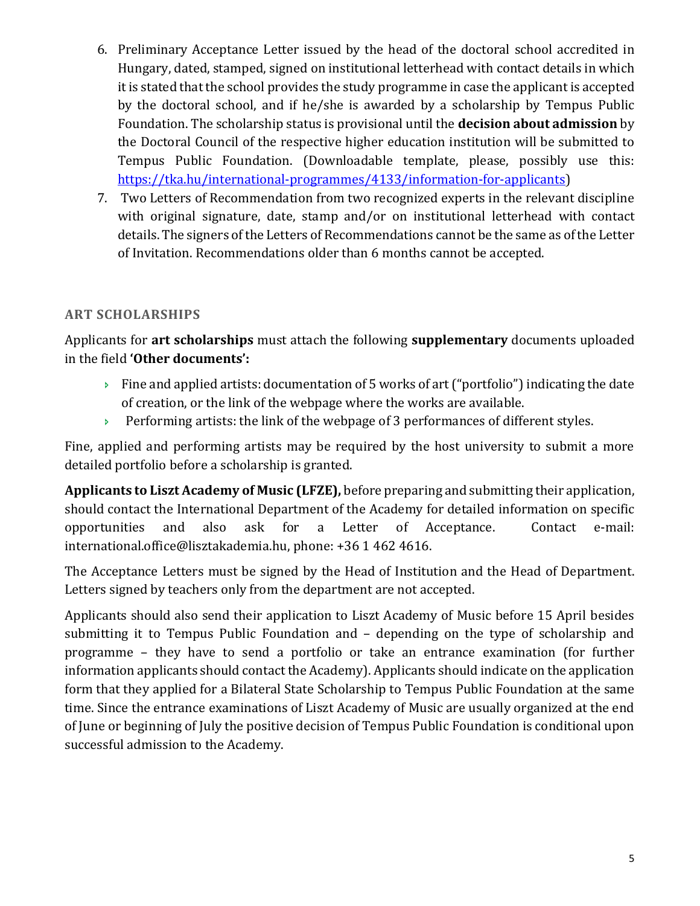- 6. Preliminary Acceptance Letter issued by the head of the doctoral school accredited in Hungary, dated, stamped, signed on institutional letterhead with contact details in which it is stated that the school provides the study programme in case the applicant is accepted by the doctoral school, and if he/she is awarded by a scholarship by Tempus Public Foundation. The scholarship status is provisional until the **decision about admission** by the Doctoral Council of the respective higher education institution will be submitted to Tempus Public Foundation. (Downloadable template, please, possibly use this: [https://tka.hu/international-programmes/4133/information-for-applicants\)](https://tka.hu/international-programmes/4133/information-for-applicants)
- 7. Two Letters of Recommendation from two recognized experts in the relevant discipline with original signature, date, stamp and/or on institutional letterhead with contact details. The signers of the Letters of Recommendations cannot be the same as of the Letter of Invitation. Recommendations older than 6 months cannot be accepted.

# **ART SCHOLARSHIPS**

Applicants for **art scholarships** must attach the following **supplementary** documents uploaded in the field **'Other documents':** 

- $\rightarrow$  Fine and applied artists: documentation of 5 works of art ("portfolio") indicating the date of creation, or the link of the webpage where the works are available.
- Performing artists: the link of the webpage of 3 performances of different styles.

Fine, applied and performing artists may be required by the host university to submit a more detailed portfolio before a scholarship is granted.

**Applicants to Liszt Academy of Music (LFZE),** before preparing and submitting their application, should contact the International Department of the Academy for detailed information on specific opportunities and also ask for a Letter of Acceptance. Contact e-mail: [international.office@lisztakademia.hu,](mailto:international.office@lisztakademia.hu) phone: +36 1 462 4616.

The Acceptance Letters must be signed by the Head of Institution and the Head of Department. Letters signed by teachers only from the department are not accepted.

Applicants should also send their application to Liszt Academy of Music before 15 April besides submitting it to Tempus Public Foundation and – depending on the type of scholarship and programme – they have to send a portfolio or take an entrance examination (for further information applicants should contact the Academy). Applicants should indicate on the application form that they applied for a Bilateral State Scholarship to Tempus Public Foundation at the same time. Since the entrance examinations of Liszt Academy of Music are usually organized at the end of June or beginning of July the positive decision of Tempus Public Foundation is conditional upon successful admission to the Academy.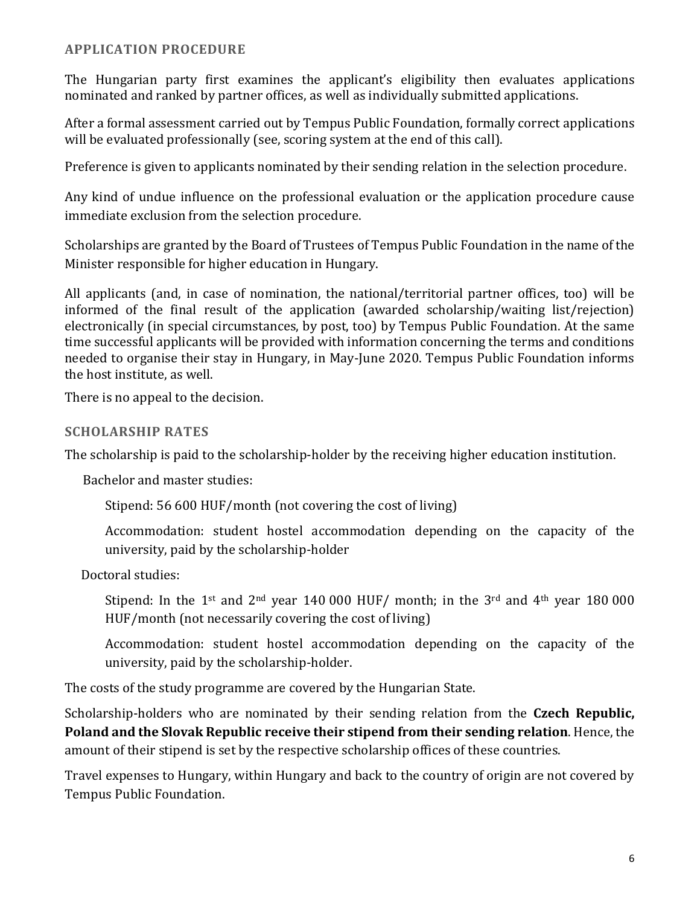#### **APPLICATION PROCEDURE**

The Hungarian party first examines the applicant's eligibility then evaluates applications nominated and ranked by partner offices, as well as individually submitted applications.

After a formal assessment carried out by Tempus Public Foundation, formally correct applications will be evaluated professionally (see, scoring system at the end of this call).

Preference is given to applicants nominated by their sending relation in the selection procedure.

Any kind of undue influence on the professional evaluation or the application procedure cause immediate exclusion from the selection procedure.

Scholarships are granted by the Board of Trustees of Tempus Public Foundation in the name of the Minister responsible for higher education in Hungary.

All applicants (and, in case of nomination, the national/territorial partner offices, too) will be informed of the final result of the application (awarded scholarship/waiting list/rejection) electronically (in special circumstances, by post, too) by Tempus Public Foundation. At the same time successful applicants will be provided with information concerning the terms and conditions needed to organise their stay in Hungary, in May-June 2020. Tempus Public Foundation informs the host institute, as well.

There is no appeal to the decision.

#### **SCHOLARSHIP RATES**

The scholarship is paid to the scholarship-holder by the receiving higher education institution.

Bachelor and master studies:

Stipend: 56 600 HUF/month (not covering the cost of living)

Accommodation: student hostel accommodation depending on the capacity of the university, paid by the scholarship-holder

Doctoral studies:

Stipend: In the 1<sup>st</sup> and 2<sup>nd</sup> year 140 000 HUF/ month; in the 3<sup>rd</sup> and 4<sup>th</sup> year 180 000 HUF/month (not necessarily covering the cost of living)

Accommodation: student hostel accommodation depending on the capacity of the university, paid by the scholarship-holder.

The costs of the study programme are covered by the Hungarian State.

Scholarship-holders who are nominated by their sending relation from the **Czech Republic, Poland and the Slovak Republic receive their stipend from their sending relation**. Hence, the amount of their stipend is set by the respective scholarship offices of these countries.

Travel expenses to Hungary, within Hungary and back to the country of origin are not covered by Tempus Public Foundation.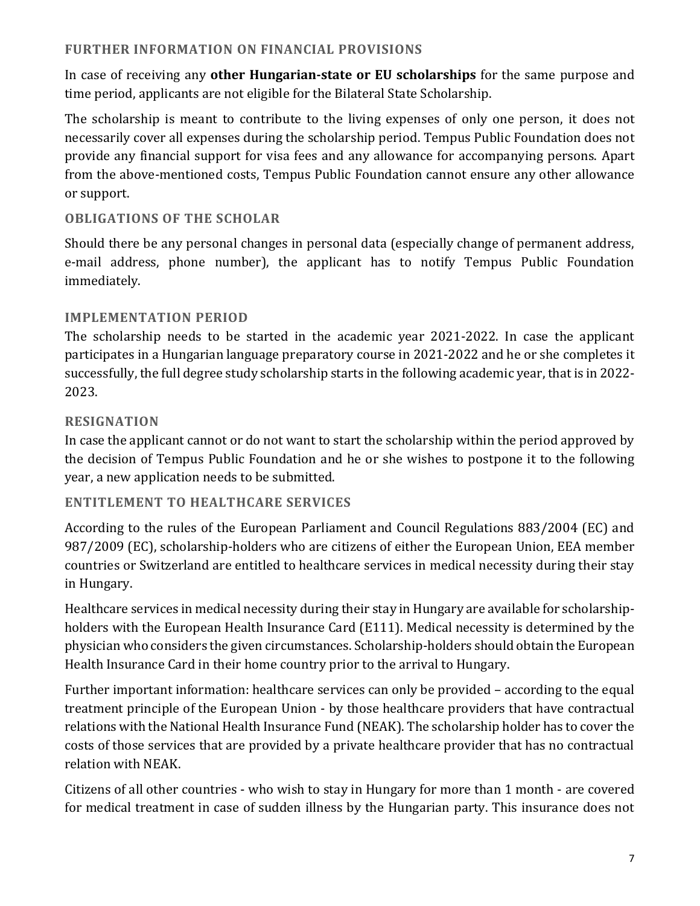### **FURTHER INFORMATION ON FINANCIAL PROVISIONS**

In case of receiving any **other Hungarian-state or EU scholarships** for the same purpose and time period, applicants are not eligible for the Bilateral State Scholarship.

The scholarship is meant to contribute to the living expenses of only one person, it does not necessarily cover all expenses during the scholarship period. Tempus Public Foundation does not provide any financial support for visa fees and any allowance for accompanying persons. Apart from the above-mentioned costs, Tempus Public Foundation cannot ensure any other allowance or support.

# **OBLIGATIONS OF THE SCHOLAR**

Should there be any personal changes in personal data (especially change of permanent address, e-mail address, phone number), the applicant has to notify Tempus Public Foundation immediately.

### **IMPLEMENTATION PERIOD**

The scholarship needs to be started in the academic year 2021-2022. In case the applicant participates in a Hungarian language preparatory course in 2021-2022 and he or she completes it successfully, the full degree study scholarship starts in the following academic year, that is in 2022- 2023.

### **RESIGNATION**

In case the applicant cannot or do not want to start the scholarship within the period approved by the decision of Tempus Public Foundation and he or she wishes to postpone it to the following year, a new application needs to be submitted.

### **ENTITLEMENT TO HEALTHCARE SERVICES**

According to the rules of the European Parliament and Council Regulations 883/2004 (EC) and 987/2009 (EC), scholarship-holders who are citizens of either the European Union, EEA member countries or Switzerland are entitled to healthcare services in medical necessity during their stay in Hungary.

Healthcare services in medical necessity during their stay in Hungary are available for scholarshipholders with the European Health Insurance Card (E111). Medical necessity is determined by the physician who considers the given circumstances. Scholarship-holders should obtain the European Health Insurance Card in their home country prior to the arrival to Hungary.

Further important information: healthcare services can only be provided – according to the equal treatment principle of the European Union - by those healthcare providers that have contractual relations with the National Health Insurance Fund (NEAK). The scholarship holder has to cover the costs of those services that are provided by a private healthcare provider that has no contractual relation with NEAK.

Citizens of all other countries - who wish to stay in Hungary for more than 1 month - are covered for medical treatment in case of sudden illness by the Hungarian party. This insurance does not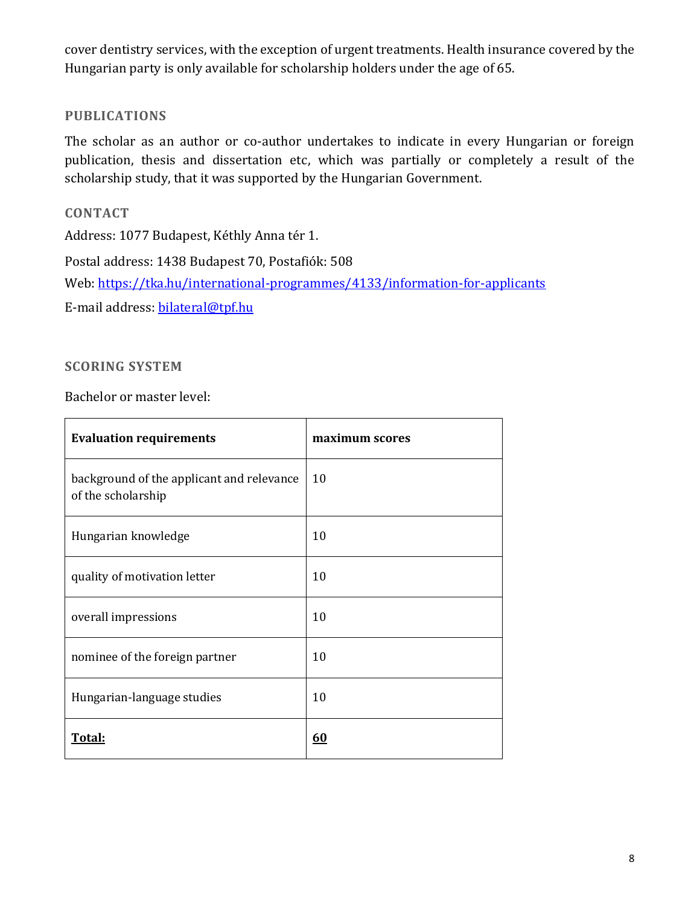cover dentistry services, with the exception of urgent treatments. Health insurance covered by the Hungarian party is only available for scholarship holders under the age of 65.

## **PUBLICATIONS**

The scholar as an author or co-author undertakes to indicate in every Hungarian or foreign publication, thesis and dissertation etc, which was partially or completely a result of the scholarship study, that it was supported by the Hungarian Government.

**CONTACT** Address: 1077 Budapest, Kéthly Anna tér 1. Postal address: 1438 Budapest 70, Postafiók: 508 Web:<https://tka.hu/international-programmes/4133/information-for-applicants> E-mail address: [bilateral@tpf.hu](mailto:bilateral@tpf.hu)

# **SCORING SYSTEM**

Bachelor or master level:

| <b>Evaluation requirements</b>                                  | maximum scores |
|-----------------------------------------------------------------|----------------|
| background of the applicant and relevance<br>of the scholarship | 10             |
| Hungarian knowledge                                             | 10             |
| quality of motivation letter                                    | 10             |
| overall impressions                                             | 10             |
| nominee of the foreign partner                                  | 10             |
| Hungarian-language studies                                      | 10             |
| Total:                                                          | 60             |